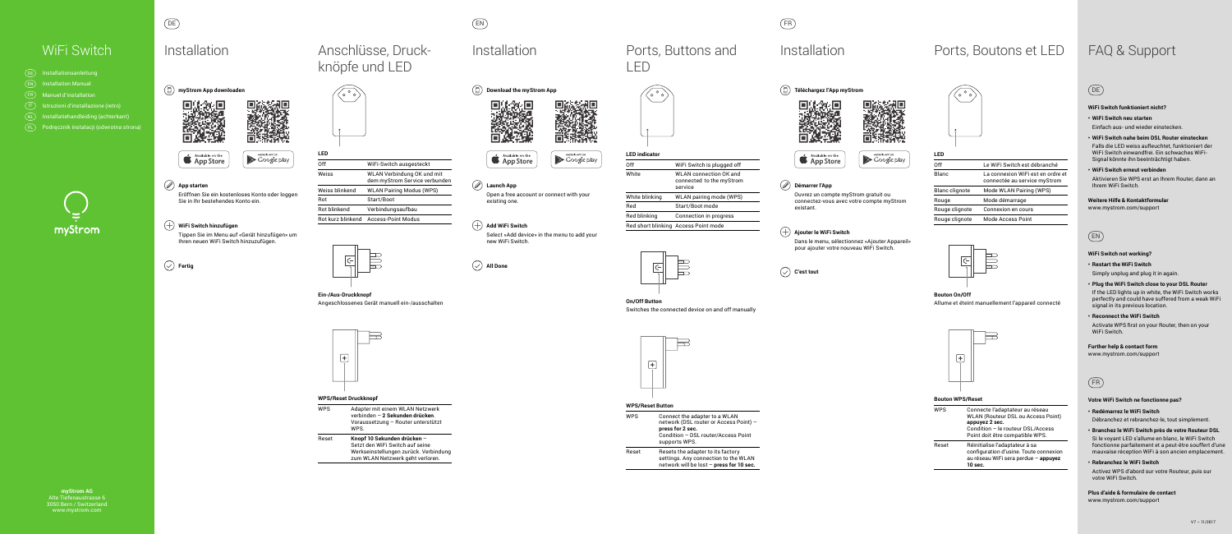**myStrom AG** Alte Tiefenaustrasse 6 3050 Bern / Switzerland www.mystrom.com







## **App starten**

 Eröffnen Sie ein kostenloses Konto oder loggen Sie in Ihr bestehendes Konto ein.

#### **WiFi Switch hinzufügen**

 Tippen Sie im Menu auf «Gerät hinzufügen» um Ihren neuen WiFi Switch hinzuzufügen.



| Anschlüsse, Druck-     |
|------------------------|
| knöpfe und LED         |
| $(\sqrt{\circ} \circ)$ |



# DE FR

| I FF                     |                                                             |
|--------------------------|-------------------------------------------------------------|
| Off                      | WiFi-Switch ausgesteckt                                     |
| Weiss                    | WLAN Verbindung OK und mit<br>dem myStrom Service verbunden |
| Weiss blinkend           | <b>WLAN Pairing Modus (WPS)</b>                             |
| Rot                      | Start/Boot                                                  |
| <b>Rot blinkend</b>      | Verbindungsaufbau                                           |
| <b>Bot kurz blinkend</b> | Access-Point Modus                                          |
|                          |                                                             |

# WiFi Switch FAQ & Support Installation Ports, Boutons et LED

#### **Ein-/Aus-Druckknopf** Angeschlossenes Gerät manuell ein-/ausschalten

 $\Box$  $\left| + \right|$ 

#### **WPS/Reset Druckknopf**

WPS Adapter mit einem WLAN Netzwerk verbinden – **2 Sekunden drücken**. Voraussetzung – Router unterstützt WPS.

Reset **Knopf 10 Sekunden drücken** – Setzt den WiFi Switch auf seine Werkseinstellungen zurück. Verbindung zum WLAN Netzwerk geht verloren.

## **Téléchargez l'App myStrom**





#### **Démarrer l'App**

 Ouvrez un compte myStrom gratuit ou connectez-vous avec votre compte myStrom existant.

#### $(+)$  Ajouter le WiFi Switch

 Dans le menu, sélectionnez «Ajouter Appareil» pour ajouter votre nouveau WiFi Switch.





Reset Resets the adapter to its factory settings. Any connection to the WLAN network will be lost – **press for 10 sec.**

| I ED                  |                                                                   |
|-----------------------|-------------------------------------------------------------------|
| Off                   | Le WiFi Switch est débranché                                      |
| Blanc                 | La connexion WiFi est en ordre et<br>connectée au service myStrom |
| <b>Blanc clignote</b> | Mode WLAN Pairing (WPS)                                           |
| Rouge                 | Mode démarrage                                                    |
| Rouge clignote        | Connexion en cours                                                |
| Rouge clignote        | <b>Mode Access Point</b>                                          |
|                       |                                                                   |



**Bouton On/Off**  Allume et éteint manuellement l'appareil connecté



#### **Bouton WPS/Reset**

Activate WPS first on your Router, then on your WiFi Switch.

| <b>WPS</b> | Connecte l'adaptateur au réseau<br><b>WLAN (Routeur DSL ou Access Point)</b><br>appuyez 2 sec.<br>Condition - le routeur DSL/Access<br>Point doit être compatible WPS. |
|------------|------------------------------------------------------------------------------------------------------------------------------------------------------------------------|
| Reset      | Réinitialise l'adaptateur à sa<br>configuration d'usine. Toute connexion<br>au réseau WiFi sera perdue - appuyez<br>10 sec.                                            |

EN







**Launch App**

Open a free account or connect with your

existing one.

 $(+)$  Add WiFi Switch

 $(\sqrt{)}$  All Done

Select «Add device» in the menu to add your



| White blin |
|------------|
| Red        |
| Red blinki |
| Red short  |

White



new WiFi Switch.

Falls die LED weiss aufleuchtet, funktioniert der WiFi Switch einwandfrei. Ein schwaches WiFi-Signal könnte ihn beeinträchtigt haben.

LED



# Installation **Ports**, Buttons and



#### **LED indicator**

| Off            | WiFi Switch is plugged off                                           |
|----------------|----------------------------------------------------------------------|
| White          | <b>WLAN</b> connection OK and<br>connected to the myStrom<br>service |
| White blinking | WLAN pairing mode (WPS)                                              |
| Red            | Start/Boot mode                                                      |
| Red blinking   | <b>Connection in progress</b>                                        |
|                | Red short blinking   Access Point mode                               |



# **On/Off Button**



#### Switches the connected device on and off manually



#### **WPS/Reset Button**

WPS Connect the adapter to a WLAN network (DSL router or Access Point) – **press for 2 sec.**  Condition – DSL router/Access Point supports WPS.

| DE        | Installationsanleitung                  |
|-----------|-----------------------------------------|
| EN        | <b>Installation Manual</b>              |
| FR.       | <b>Manuel d'installation</b>            |
| IT        | Istruzioni d'installazione (retro)      |
| <b>NL</b> | Installatiehandleiding (achterkant)     |
| PL        | Podręcznik instalacji (odwrotna strona) |
|           |                                         |



# **Installation**

# EN

#### **WiFi Switch not working?**

**• Restart the WiFi Switch**

Simply unplug and plug it in again.

**• Plug the WiFi Switch close to your DSL Router** If the LED lights up in white, the WiFi Switch works perfectly and could have suffered from a weak WiFi signal in its previous location.

#### **• Reconnect the WiFi Switch**

## **Further help & contact form**

www.mystrom.com/support

## FR

#### **Votre WiFi Switch ne fonctionne pas?**

#### **• Redémarrez le WiFi Switch** Débranchez et rebranchez-le, tout simplement.

**• Branchez le WiFi Switch près de votre Routeur DSL**

Si le voyant LED s'allume en blanc, le WiFi Switch fonctionne parfaitement et a peut-être souffert d'une mauvaise réception WiFi à son ancien emplacement.

#### **• Rebranchez le WiFi Switch**

Activez WPS d'abord sur votre Routeur, puis sur votre WiFi Switch.

**Plus d'aide & formulaire de contact**  www.mystrom.com/support

## DE

#### **WiFi Switch funktioniert nicht?**

## **• WiFi Switch neu starten**

Einfach aus- und wieder einstecken.

**• WiFi Switch nahe beim DSL Router einstecken**

#### **• WiFi Switch erneut verbinden**

Aktivieren Sie WPS erst an Ihrem Router, dann an Ihrem WiFi Switch.

**Weitere Hilfe & Kontaktformular** 

#### www.mystrom.com/support